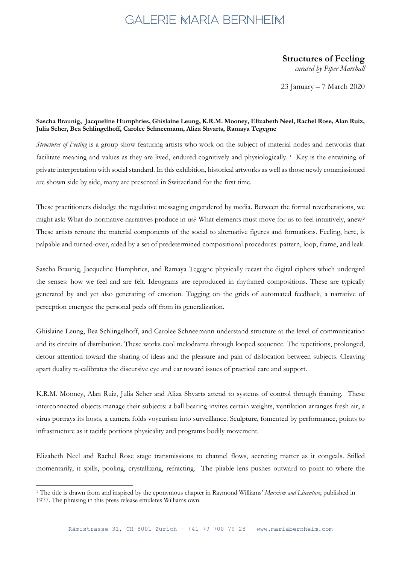## **GALERIE MARIA BERNHEIM**

## **Structures of Feeling**

*curated by Piper Marshall*

23 January – 7 March 2020

## **Sascha Braunig, Jacqueline Humphries, Ghislaine Leung, K.R.M. Mooney, Elizabeth Neel, Rachel Rose, Alan Ruiz, Julia Scher, Bea Schlingelhoff, Carolee Schneemann, Aliza Shvarts, Ramaya Tegegne**

*Structures of Feeling* is a group show featuring artists who work on the subject of material nodes and networks that facilitate meaning and values as they are lived, endured cognitively and physiologically. *<sup>1</sup>* Key is the entwining of private interpretation with social standard. In this exhibition, historical artworks as well as those newly commissioned are shown side by side, many are presented in Switzerland for the first time.

These practitioners dislodge the regulative messaging engendered by media. Between the formal reverberations, we might ask: What do normative narratives produce in us? What elements must move for us to feel intuitively, anew? These artists reroute the material components of the social to alternative figures and formations. Feeling, here, is palpable and turned-over, aided by a set of predetermined compositional procedures: pattern, loop, frame, and leak.

Sascha Braunig, Jacqueline Humphries, and Ramaya Tegegne physically recast the digital ciphers which undergird the senses: how we feel and are felt. Ideograms are reproduced in rhythmed compositions. These are typically generated by and yet also generating of emotion. Tugging on the grids of automated feedback, a narrative of perception emerges: the personal peels off from its generalization.

Ghislaine Leung, Bea Schlingelhoff, and Carolee Schneemann understand structure at the level of communication and its circuits of distribution. These works cool melodrama through looped sequence. The repetitions, prolonged, detour attention toward the sharing of ideas and the pleasure and pain of dislocation between subjects. Cleaving apart duality re-calibrates the discursive eye and ear toward issues of practical care and support.

K.R.M. Mooney, Alan Ruiz, Julia Scher and Aliza Shvarts attend to systems of control through framing. These interconnected objects manage their subjects: a ball bearing invites certain weights, ventilation arranges fresh air, a virus portrays its hosts, a camera folds voyeurism into surveillance. Sculpture, fomented by performance, points to infrastructure as it tacitly portions physicality and programs bodily movement.

Elizabeth Neel and Rachel Rose stage transmissions to channel flows, accreting matter as it congeals. Stilled momentarily, it spills, pooling, crystallizing, refracting. The pliable lens pushes outward to point to where the

<sup>1</sup> The title is drawn from and inspired by the eponymous chapter in Raymond Williams' *Marxism and Literature*, published in 1977. The phrasing in this press release emulates Williams own.